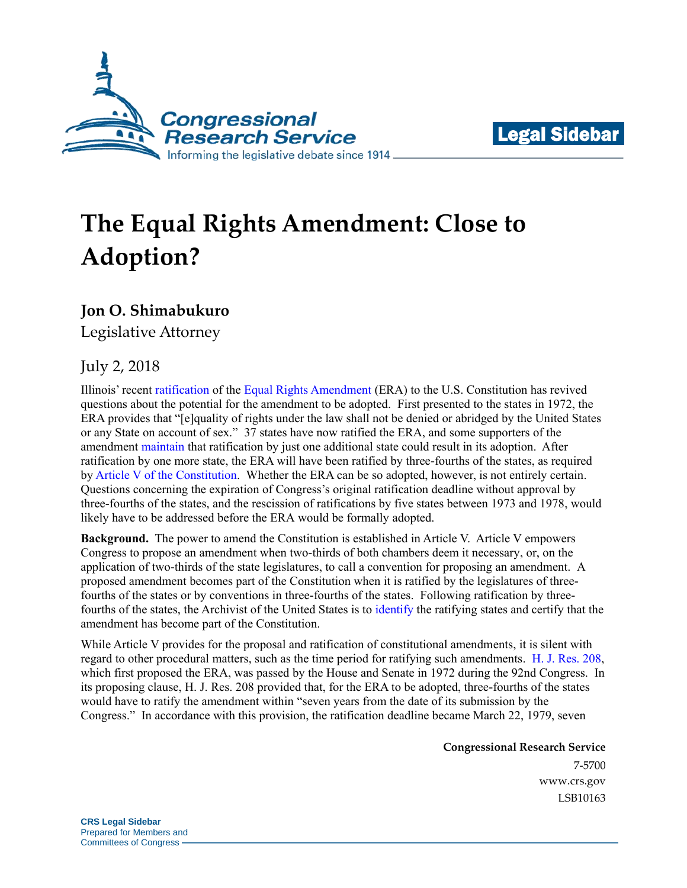



## **The Equal Rights Amendment: Close to Adoption?**

## **Jon O. Shimabukuro**

Legislative Attorney

## July 2, 2018

Illinois' recent [ratification](http://www.chicagotribune.com/news/local/politics/ct-met-equal-rights-amendment-illinois-20180530-story.html) of the [Equal Rights Amendment](https://www.gpo.gov/fdsys/pkg/STATUTE-86/pdf/STATUTE-86-Pg1523.pdf) (ERA) to the U.S. Constitution has revived questions about the potential for the amendment to be adopted. First presented to the states in 1972, the ERA provides that "[e]quality of rights under the law shall not be denied or abridged by the United States or any State on account of sex." 37 states have now ratified the ERA, and some supporters of the amendment [maintain](http://www.equalrightsamendment.org/misc/ERA_3-state.pdf) that ratification by just one additional state could result in its adoption. After ratification by one more state, the ERA will have been ratified by three-fourths of the states, as required by [Article V of the Constitution.](https://www.archives.gov/federal-register/constitution/article-v.html) Whether the ERA can be so adopted, however, is not entirely certain. Questions concerning the expiration of Congress's original ratification deadline without approval by three-fourths of the states, and the rescission of ratifications by five states between 1973 and 1978, would likely have to be addressed before the ERA would be formally adopted.

**Background.** The power to amend the Constitution is established in Article V. Article V empowers Congress to propose an amendment when two-thirds of both chambers deem it necessary, or, on the application of two-thirds of the state legislatures, to call a convention for proposing an amendment. A proposed amendment becomes part of the Constitution when it is ratified by the legislatures of threefourths of the states or by conventions in three-fourths of the states. Following ratification by threefourths of the states, the Archivist of the United States is to [identify](https://www.gpo.gov/fdsys/pkg/USCODE-2009-title1/pdf/USCODE-2009-title1-chap2-sec106b.pdf) the ratifying states and certify that the amendment has become part of the Constitution.

While Article V provides for the proposal and ratification of constitutional amendments, it is silent with regard to other procedural matters, such as the time period for ratifying such amendments. [H. J. Res. 208,](https://www.gpo.gov/fdsys/pkg/STATUTE-86/pdf/STATUTE-86-Pg1523.pdf) which first proposed the ERA, was passed by the House and Senate in 1972 during the 92nd Congress. In its proposing clause, H. J. Res. 208 provided that, for the ERA to be adopted, three-fourths of the states would have to ratify the amendment within "seven years from the date of its submission by the Congress." In accordance with this provision, the ratification deadline became March 22, 1979, seven

**Congressional Research Service**

7-5700 [www.crs.gov](http://www.crs.gov/) LSB10163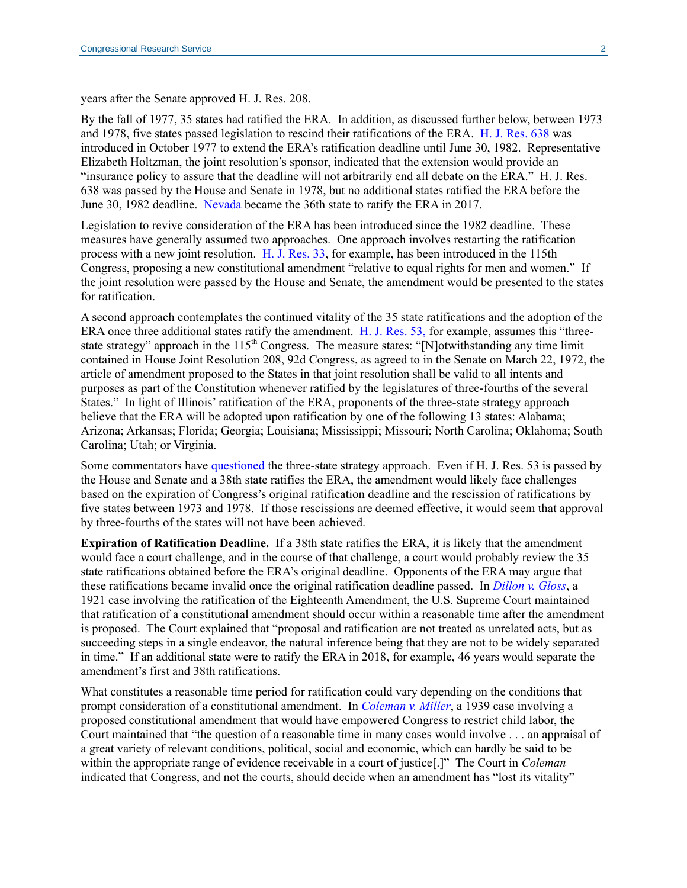years after the Senate approved H. J. Res. 208.

By the fall of 1977, 35 states had ratified the ERA. In addition, as discussed further below, between 1973 and 1978, five states passed legislation to rescind their ratifications of the ERA. [H. J. Res. 638](http://www.crs.gov/products/Documents/hjres638/pdf) was introduced in October 1977 to extend the ERA's ratification deadline until June 30, 1982. Representative Elizabeth Holtzman, the joint resolution's sponsor, indicated that the extension would provide an "insurance policy to assure that the deadline will not arbitrarily end all debate on the ERA." H. J. Res. 638 was passed by the House and Senate in 1978, but no additional states ratified the ERA before the June 30, 1982 deadline. [Nevada](http://www.latimes.com/nation/la-na-nevada-era-2017-story.html) became the 36th state to ratify the ERA in 2017.

Legislation to revive consideration of the ERA has been introduced since the 1982 deadline. These measures have generally assumed two approaches. One approach involves restarting the ratification process with a new joint resolution. [H. J. Res. 33,](https://www.gpo.gov/fdsys/pkg/BILLS-115hjres33ih/pdf/BILLS-115hjres33ih.pdf) for example, has been introduced in the 115th Congress, proposing a new constitutional amendment "relative to equal rights for men and women." If the joint resolution were passed by the House and Senate, the amendment would be presented to the states for ratification.

A second approach contemplates the continued vitality of the 35 state ratifications and the adoption of the ERA once three additional states ratify the amendment. [H. J. Res. 53,](https://www.gpo.gov/fdsys/pkg/BILLS-115hjres53ih/pdf/BILLS-115hjres53ih.pdf) for example, assumes this "threestate strategy" approach in the  $115<sup>th</sup>$  Congress. The measure states: "[N]otwithstanding any time limit contained in House Joint Resolution 208, 92d Congress, as agreed to in the Senate on March 22, 1972, the article of amendment proposed to the States in that joint resolution shall be valid to all intents and purposes as part of the Constitution whenever ratified by the legislatures of three-fourths of the several States." In light of Illinois' ratification of the ERA, proponents of the three-state strategy approach believe that the ERA will be adopted upon ratification by one of the following 13 states: Alabama; Arizona; Arkansas; Florida; Georgia; Louisiana; Mississippi; Missouri; North Carolina; Oklahoma; South Carolina; Utah; or Virginia.

Some commentators have [questioned](http://www.crs.gov/Reports/pdf/R42979#page=22) the three-state strategy approach. Even if H. J. Res. 53 is passed by the House and Senate and a 38th state ratifies the ERA, the amendment would likely face challenges based on the expiration of Congress's original ratification deadline and the rescission of ratifications by five states between 1973 and 1978. If those rescissions are deemed effective, it would seem that approval by three-fourths of the states will not have been achieved.

**Expiration of Ratification Deadline.** If a 38th state ratifies the ERA, it is likely that the amendment would face a court challenge, and in the course of that challenge, a court would probably review the 35 state ratifications obtained before the ERA's original deadline. Opponents of the ERA may argue that these ratifications became invalid once the original ratification deadline passed. In *[Dillon v. Gloss](https://supreme.justia.com/cases/federal/us/256/368/case.html)*, a 1921 case involving the ratification of the Eighteenth Amendment, the U.S. Supreme Court maintained that ratification of a constitutional amendment should occur within a reasonable time after the amendment is proposed. The Court explained that "proposal and ratification are not treated as unrelated acts, but as succeeding steps in a single endeavor, the natural inference being that they are not to be widely separated in time." If an additional state were to ratify the ERA in 2018, for example, 46 years would separate the amendment's first and 38th ratifications.

What constitutes a reasonable time period for ratification could vary depending on the conditions that prompt consideration of a constitutional amendment. In *[Coleman v. Miller](https://supreme.justia.com/cases/federal/us/307/433/case.html)*, a 1939 case involving a proposed constitutional amendment that would have empowered Congress to restrict child labor, the Court maintained that "the question of a reasonable time in many cases would involve . . . an appraisal of a great variety of relevant conditions, political, social and economic, which can hardly be said to be within the appropriate range of evidence receivable in a court of justice[.]" The Court in *Coleman* indicated that Congress, and not the courts, should decide when an amendment has "lost its vitality"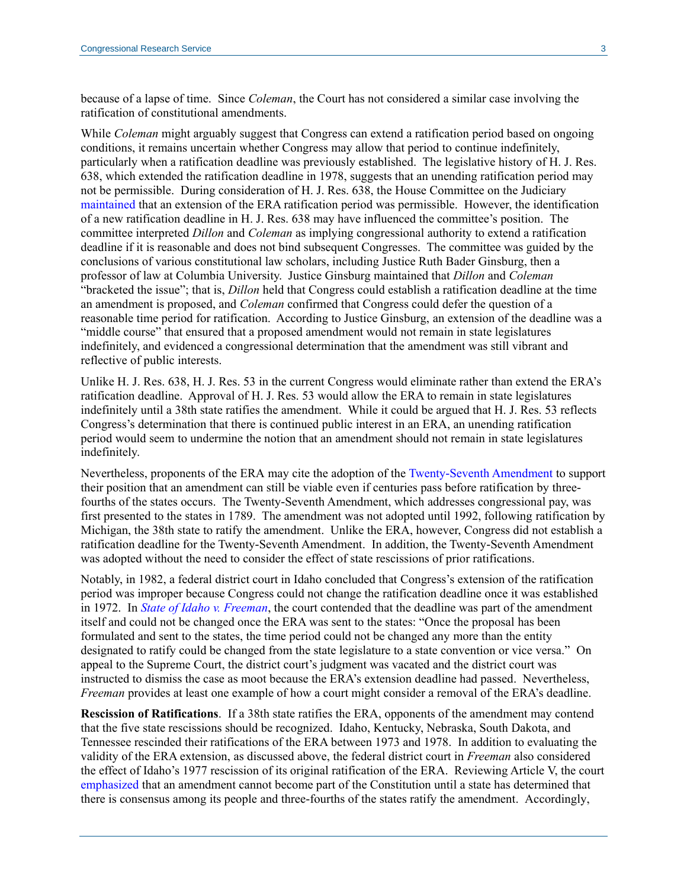because of a lapse of time. Since *Coleman*, the Court has not considered a similar case involving the ratification of constitutional amendments.

While *Coleman* might arguably suggest that Congress can extend a ratification period based on ongoing conditions, it remains uncertain whether Congress may allow that period to continue indefinitely, particularly when a ratification deadline was previously established. The legislative history of H. J. Res. 638, which extended the ratification deadline in 1978, suggests that an unending ratification period may not be permissible. During consideration of H. J. Res. 638, the House Committee on the Judiciary [maintained](http://www.crs.gov/products/Documents/95-1405/pdf) that an extension of the ERA ratification period was permissible. However, the identification of a new ratification deadline in H. J. Res. 638 may have influenced the committee's position. The committee interpreted *Dillon* and *Coleman* as implying congressional authority to extend a ratification deadline if it is reasonable and does not bind subsequent Congresses. The committee was guided by the conclusions of various constitutional law scholars, including Justice Ruth Bader Ginsburg, then a professor of law at Columbia University. Justice Ginsburg maintained that *Dillon* and *Coleman* "bracketed the issue"; that is, *Dillon* held that Congress could establish a ratification deadline at the time an amendment is proposed, and *Coleman* confirmed that Congress could defer the question of a reasonable time period for ratification. According to Justice Ginsburg, an extension of the deadline was a "middle course" that ensured that a proposed amendment would not remain in state legislatures indefinitely, and evidenced a congressional determination that the amendment was still vibrant and reflective of public interests.

Unlike H. J. Res. 638, H. J. Res. 53 in the current Congress would eliminate rather than extend the ERA's ratification deadline. Approval of H. J. Res. 53 would allow the ERA to remain in state legislatures indefinitely until a 38th state ratifies the amendment. While it could be argued that H. J. Res. 53 reflects Congress's determination that there is continued public interest in an ERA, an unending ratification period would seem to undermine the notion that an amendment should not remain in state legislatures indefinitely.

Nevertheless, proponents of the ERA may cite the adoption of the [Twenty-Seventh Amendment](https://www.gpo.gov/fdsys/pkg/GPO-CONAN-1992/pdf/GPO-CONAN-1992-10-28.pdf) to support their position that an amendment can still be viable even if centuries pass before ratification by threefourths of the states occurs. The Twenty-Seventh Amendment, which addresses congressional pay, was first presented to the states in 1789. The amendment was not adopted until 1992, following ratification by Michigan, the 38th state to ratify the amendment. Unlike the ERA, however, Congress did not establish a ratification deadline for the Twenty-Seventh Amendment. In addition, the Twenty-Seventh Amendment was adopted without the need to consider the effect of state rescissions of prior ratifications.

Notably, in 1982, a federal district court in Idaho concluded that Congress's extension of the ratification period was improper because Congress could not change the ratification deadline once it was established in 1972. In *State of [Idaho v. Freeman](https://law.justia.com/cases/federal/district-courts/FSupp/529/1107/2355452/)*, the court contended that the deadline was part of the amendment itself and could not be changed once the ERA was sent to the states: "Once the proposal has been formulated and sent to the states, the time period could not be changed any more than the entity designated to ratify could be changed from the state legislature to a state convention or vice versa." On appeal to the Supreme Court, the district court's judgment was vacated and the district court was instructed to dismiss the case as moot because the ERA's extension deadline had passed. Nevertheless, *Freeman* provides at least one example of how a court might consider a removal of the ERA's deadline.

**Rescission of Ratifications**. If a 38th state ratifies the ERA, opponents of the amendment may contend that the five state rescissions should be recognized. Idaho, Kentucky, Nebraska, South Dakota, and Tennessee rescinded their ratifications of the ERA between 1973 and 1978. In addition to evaluating the validity of the ERA extension, as discussed above, the federal district court in *Freeman* also considered the effect of Idaho's 1977 rescission of its original ratification of the ERA. Reviewing Article V, the court [emphasized](https://law.justia.com/cases/federal/district-courts/FSupp/529/1107/2355452/) that an amendment cannot become part of the Constitution until a state has determined that there is consensus among its people and three-fourths of the states ratify the amendment. Accordingly,